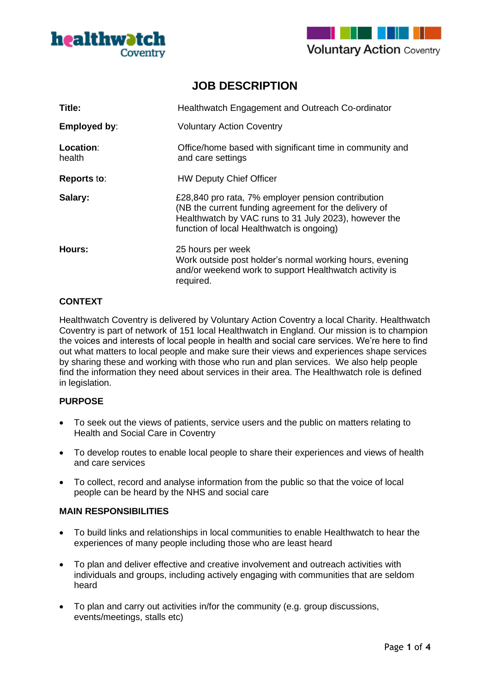



# **JOB DESCRIPTION**

| Title:              | Healthwatch Engagement and Outreach Co-ordinator                                                                                                                                                                  |
|---------------------|-------------------------------------------------------------------------------------------------------------------------------------------------------------------------------------------------------------------|
| Employed by:        | <b>Voluntary Action Coventry</b>                                                                                                                                                                                  |
| Location:<br>health | Office/home based with significant time in community and<br>and care settings                                                                                                                                     |
| <b>Reports to:</b>  | <b>HW Deputy Chief Officer</b>                                                                                                                                                                                    |
| Salary:             | £28,840 pro rata, 7% employer pension contribution<br>(NB the current funding agreement for the delivery of<br>Healthwatch by VAC runs to 31 July 2023), however the<br>function of local Healthwatch is ongoing) |
| Hours:              | 25 hours per week<br>Work outside post holder's normal working hours, evening<br>and/or weekend work to support Healthwatch activity is<br>required.                                                              |

### **CONTEXT**

Healthwatch Coventry is delivered by Voluntary Action Coventry a local Charity. Healthwatch Coventry is part of network of 151 local Healthwatch in England. Our mission is to champion the voices and interests of local people in health and social care services. We're here to find out what matters to local people and make sure their views and experiences shape services by sharing these and working with those who run and plan services. We also help people find the information they need about services in their area. The Healthwatch role is defined in legislation.

#### **PURPOSE**

- To seek out the views of patients, service users and the public on matters relating to Health and Social Care in Coventry
- To develop routes to enable local people to share their experiences and views of health and care services
- To collect, record and analyse information from the public so that the voice of local people can be heard by the NHS and social care

#### **MAIN RESPONSIBILITIES**

- To build links and relationships in local communities to enable Healthwatch to hear the experiences of many people including those who are least heard
- To plan and deliver effective and creative involvement and outreach activities with individuals and groups, including actively engaging with communities that are seldom heard
- To plan and carry out activities in/for the community (e.g. group discussions, events/meetings, stalls etc)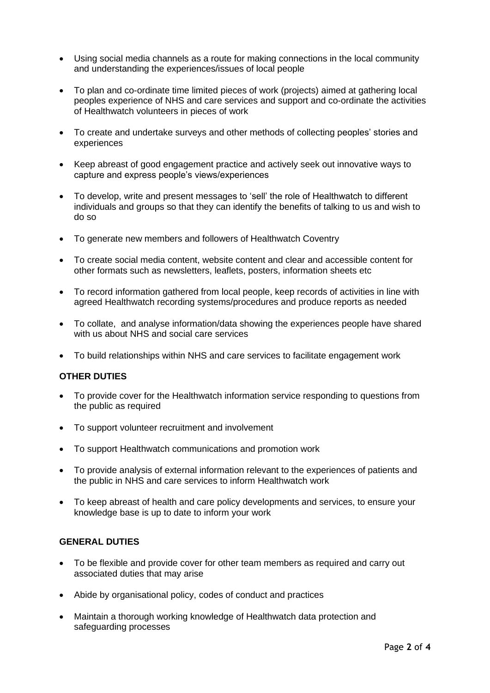- Using social media channels as a route for making connections in the local community and understanding the experiences/issues of local people
- To plan and co-ordinate time limited pieces of work (projects) aimed at gathering local peoples experience of NHS and care services and support and co-ordinate the activities of Healthwatch volunteers in pieces of work
- To create and undertake surveys and other methods of collecting peoples' stories and experiences
- Keep abreast of good engagement practice and actively seek out innovative ways to capture and express people's views/experiences
- To develop, write and present messages to 'sell' the role of Healthwatch to different individuals and groups so that they can identify the benefits of talking to us and wish to do so
- To generate new members and followers of Healthwatch Coventry
- To create social media content, website content and clear and accessible content for other formats such as newsletters, leaflets, posters, information sheets etc
- To record information gathered from local people, keep records of activities in line with agreed Healthwatch recording systems/procedures and produce reports as needed
- To collate, and analyse information/data showing the experiences people have shared with us about NHS and social care services
- To build relationships within NHS and care services to facilitate engagement work

#### **OTHER DUTIES**

- To provide cover for the Healthwatch information service responding to questions from the public as required
- To support volunteer recruitment and involvement
- To support Healthwatch communications and promotion work
- To provide analysis of external information relevant to the experiences of patients and the public in NHS and care services to inform Healthwatch work
- To keep abreast of health and care policy developments and services, to ensure your knowledge base is up to date to inform your work

#### **GENERAL DUTIES**

- To be flexible and provide cover for other team members as required and carry out associated duties that may arise
- Abide by organisational policy, codes of conduct and practices
- Maintain a thorough working knowledge of Healthwatch data protection and safeguarding processes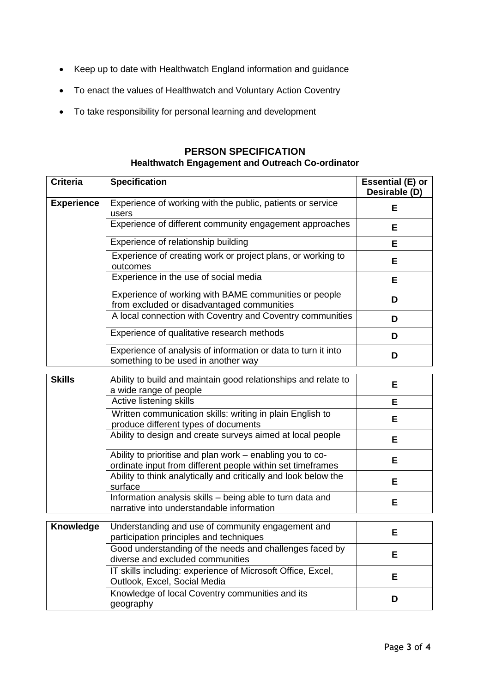- Keep up to date with Healthwatch England information and guidance
- To enact the values of Healthwatch and Voluntary Action Coventry
- To take responsibility for personal learning and development

| <b>Criteria</b>   | <b>Specification</b>                                                                                 | Essential (E) or<br>Desirable (D) |
|-------------------|------------------------------------------------------------------------------------------------------|-----------------------------------|
| <b>Experience</b> | Experience of working with the public, patients or service<br>users                                  | Е                                 |
|                   | Experience of different community engagement approaches                                              | Е                                 |
|                   | Experience of relationship building                                                                  | Е                                 |
|                   | Experience of creating work or project plans, or working to<br>outcomes                              | Е                                 |
|                   | Experience in the use of social media                                                                | Е                                 |
|                   | Experience of working with BAME communities or people<br>from excluded or disadvantaged communities  | D                                 |
|                   | A local connection with Coventry and Coventry communities                                            | D                                 |
|                   | Experience of qualitative research methods                                                           | D                                 |
|                   | Experience of analysis of information or data to turn it into<br>something to be used in another way | D                                 |

# **PERSON SPECIFICATION Healthwatch Engagement and Outreach Co-ordinator**

| <b>Skills</b> | Ability to build and maintain good relationships and relate to<br>a wide range of people                                | Е  |
|---------------|-------------------------------------------------------------------------------------------------------------------------|----|
|               | Active listening skills                                                                                                 | Е  |
|               | Written communication skills: writing in plain English to<br>produce different types of documents                       | E. |
|               | Ability to design and create surveys aimed at local people                                                              | Е  |
|               | Ability to prioritise and plan work – enabling you to co-<br>ordinate input from different people within set timeframes | Е  |
|               | Ability to think analytically and critically and look below the<br>surface                                              | E  |
|               | Information analysis skills – being able to turn data and<br>narrative into understandable information                  | E  |
|               |                                                                                                                         |    |
| Knowledge     | Understanding and use of community engagement and<br>participation principles and techniques                            | Е  |
|               | Good understanding of the needs and challenges faced by<br>diverse and excluded communities                             | E  |
|               | IT skills including: experience of Microsoft Office, Excel,<br>Outlook, Excel, Social Media                             | E  |
|               | Knowledge of local Coventry communities and its<br>geography                                                            | D  |